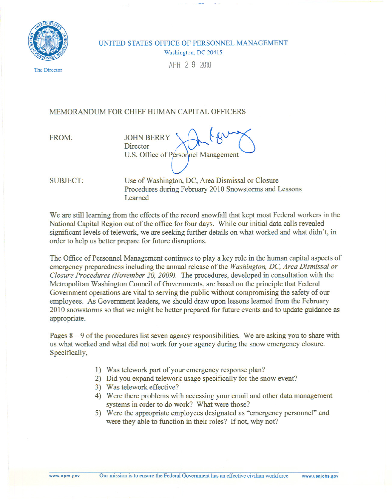

UNITED STATES OFFICE OF PERSONNEL MANAGEMENT Washington, DC 20415

APR2 9 2010

The Director

## MEMORANDUM FOR CHIEF HUMAN CAPITAL OFFICERS

FROM: JOHN BERRY<br>Director U.S. Office of Personnel Management

SUBJECT: Use of Washington, DC, Area Dismissal or Closure Procedures during February 2010 Snowstorms and Lessons Learned

We are still learning from the effects of the record snowfall that kept most Federal workers in the National Capital Region out of the office for four days. While our initial data calls revealed significant levels of telework, we are seeking further details on what worked and what didn't, in order to help us better prepare for future disruptions.

The Office of Personnel Management continues to playa key role in the human capital aspects of emergency preparedness including the annual release of the *Washington,DC, Area Dismissal or Closure Procedures (November 20, 2009).* The procedures, developed in consultation with the Metropolitan Washington Council of Governments, are based on the principle that Federal Government operations are vital to serving the public without compromising the safety of our employees. As Government leaders, we should draw upon lessons learned from the February 2010 snowstorms so that we might be better prepared for future events and to update guidance as appropriate.

Pages  $8 - 9$  of the procedures list seven agency responsibilities. We are asking you to share with us what worked and what did not work for your agency during the snow emergency closure. Specifically,

- 1) Wastelework part of your emergency response plan?
- 2) Did you expand telework usage specifically for the snow event?
- 3) Was telework effective?
- 4) Were there problems with accessing your email and other data management systems in order to do work? What were those?
- 5) Were the appropriate employees designated as "emergency personnel" and were they able to function in their roles? If not, why not?